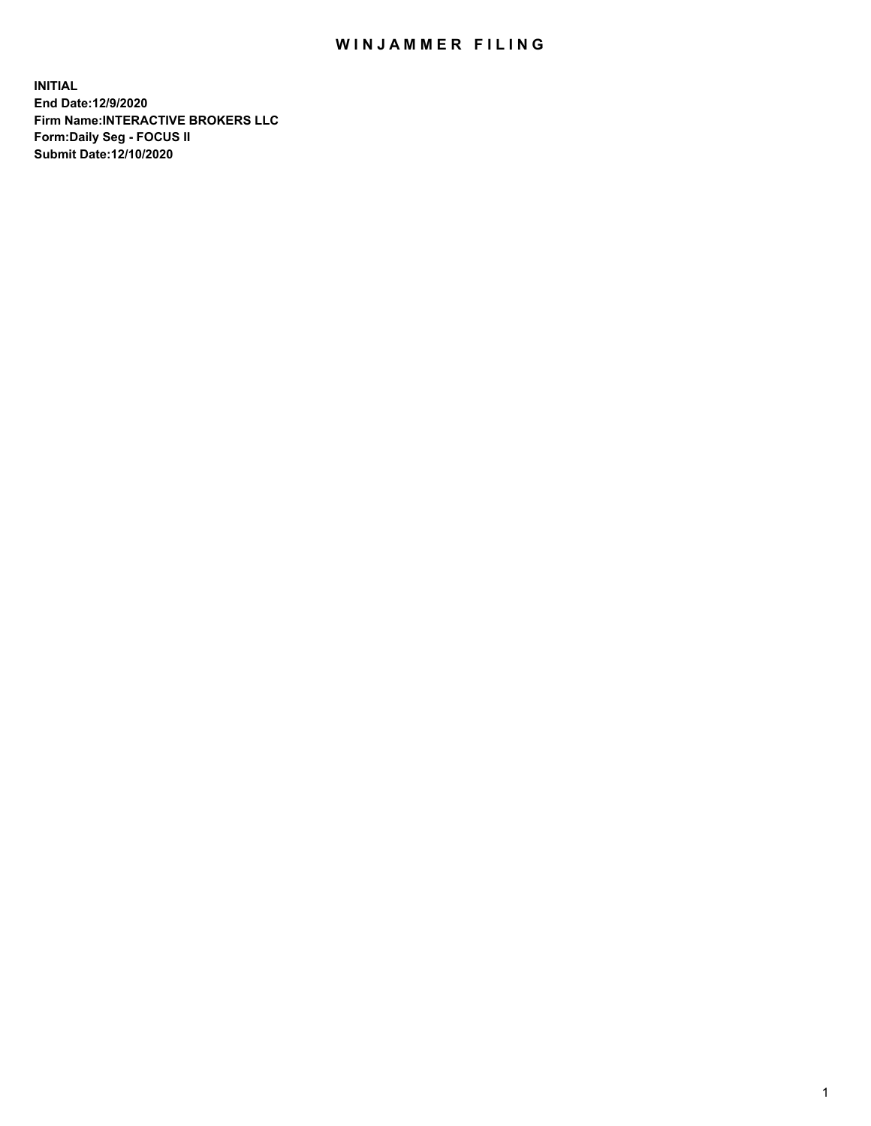## WIN JAMMER FILING

**INITIAL End Date:12/9/2020 Firm Name:INTERACTIVE BROKERS LLC Form:Daily Seg - FOCUS II Submit Date:12/10/2020**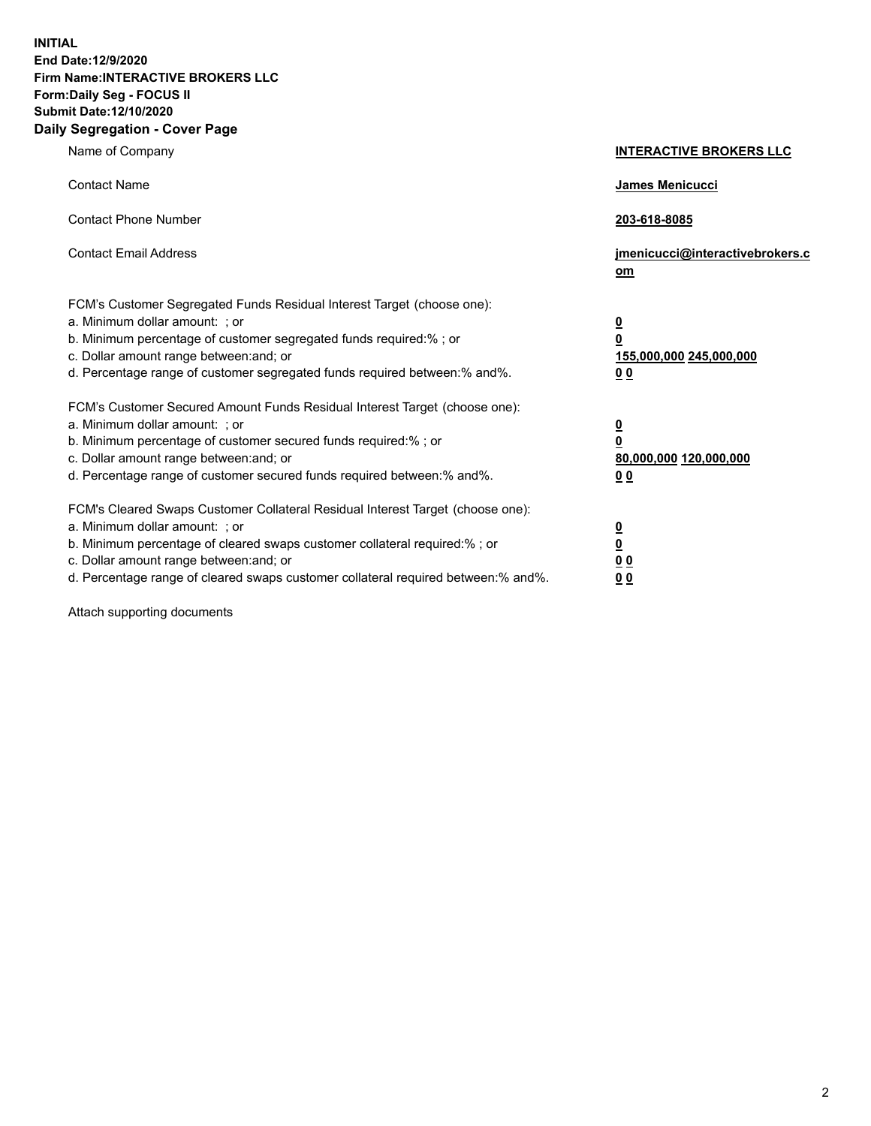**INITIAL End Date:12/9/2020 Firm Name:INTERACTIVE BROKERS LLC Form:Daily Seg - FOCUS II Submit Date:12/10/2020 Daily Segregation - Cover Page**

| Name of Company                                                                                                                                                                                                                                                                                                               | <b>INTERACTIVE BROKERS LLC</b>                                            |  |
|-------------------------------------------------------------------------------------------------------------------------------------------------------------------------------------------------------------------------------------------------------------------------------------------------------------------------------|---------------------------------------------------------------------------|--|
| <b>Contact Name</b>                                                                                                                                                                                                                                                                                                           | James Menicucci                                                           |  |
| <b>Contact Phone Number</b>                                                                                                                                                                                                                                                                                                   | 203-618-8085                                                              |  |
| <b>Contact Email Address</b>                                                                                                                                                                                                                                                                                                  | jmenicucci@interactivebrokers.c<br>$om$                                   |  |
| FCM's Customer Segregated Funds Residual Interest Target (choose one):<br>a. Minimum dollar amount: ; or<br>b. Minimum percentage of customer segregated funds required:% ; or<br>c. Dollar amount range between: and; or<br>d. Percentage range of customer segregated funds required between:% and%.                        | $\overline{\mathbf{0}}$<br>0<br>155,000,000 245,000,000<br>0 <sub>0</sub> |  |
| FCM's Customer Secured Amount Funds Residual Interest Target (choose one):<br>a. Minimum dollar amount: ; or<br>b. Minimum percentage of customer secured funds required:%; or<br>c. Dollar amount range between: and; or<br>d. Percentage range of customer secured funds required between:% and%.                           | $\overline{\mathbf{0}}$<br>$\pmb{0}$<br>80,000,000 120,000,000<br>00      |  |
| FCM's Cleared Swaps Customer Collateral Residual Interest Target (choose one):<br>a. Minimum dollar amount: ; or<br>b. Minimum percentage of cleared swaps customer collateral required:%; or<br>c. Dollar amount range between: and; or<br>d. Percentage range of cleared swaps customer collateral required between:% and%. | $\overline{\mathbf{0}}$<br><u>0</u><br>0 <sub>0</sub><br>0 <sub>0</sub>   |  |

Attach supporting documents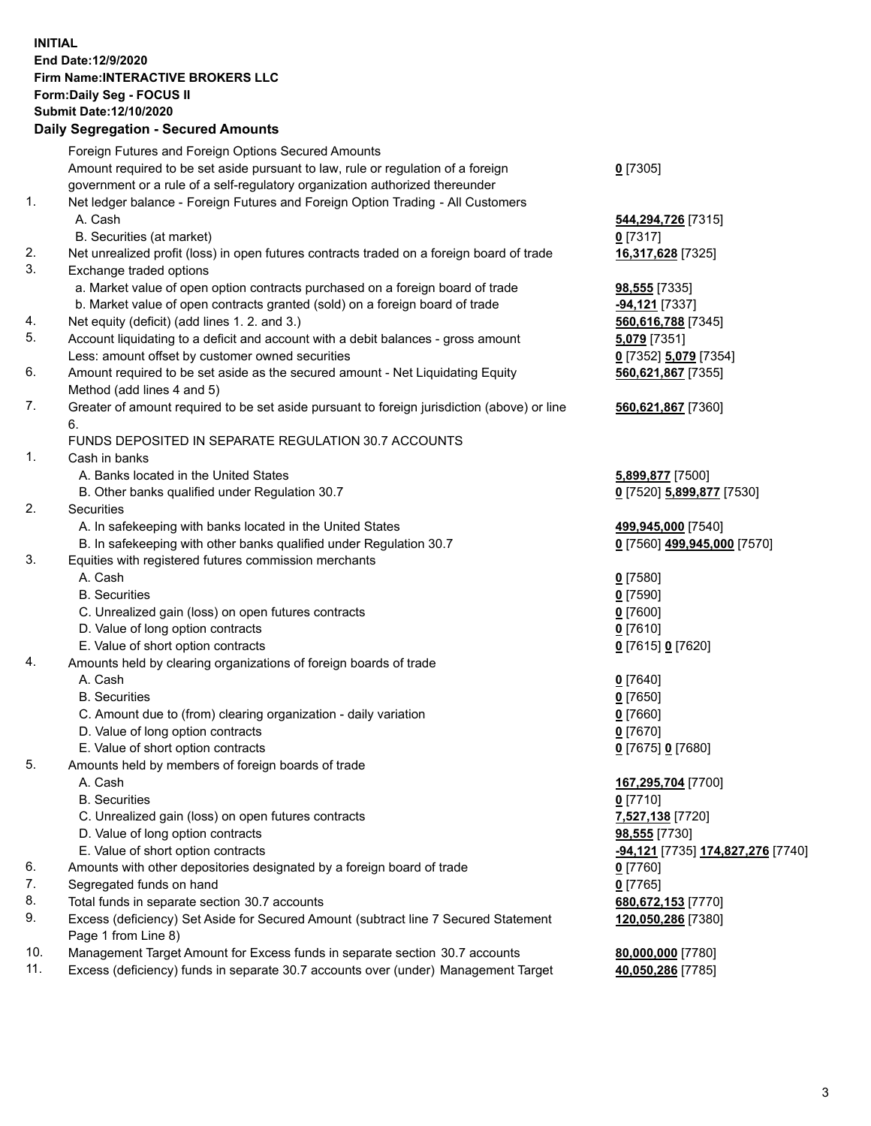**INITIAL End Date:12/9/2020 Firm Name:INTERACTIVE BROKERS LLC Form:Daily Seg - FOCUS II Submit Date:12/10/2020 Daily Segregation - Secured Amounts**

## Foreign Futures and Foreign Options Secured Amounts Amount required to be set aside pursuant to law, rule or regulation of a foreign government or a rule of a self-regulatory organization authorized thereunder **0** [7305] 1. Net ledger balance - Foreign Futures and Foreign Option Trading - All Customers A. Cash **544,294,726** [7315] B. Securities (at market) **0** [7317] 2. Net unrealized profit (loss) in open futures contracts traded on a foreign board of trade **16,317,628** [7325] 3. Exchange traded options a. Market value of open option contracts purchased on a foreign board of trade **98,555** [7335] b. Market value of open contracts granted (sold) on a foreign board of trade **-94,121** [7337] 4. Net equity (deficit) (add lines 1. 2. and 3.) **560,616,788** [7345] 5. Account liquidating to a deficit and account with a debit balances - gross amount **5,079** [7351] Less: amount offset by customer owned securities **0** [7352] **5,079** [7354] 6. Amount required to be set aside as the secured amount - Net Liquidating Equity Method (add lines 4 and 5) **560,621,867** [7355] 7. Greater of amount required to be set aside pursuant to foreign jurisdiction (above) or line 6. **560,621,867** [7360] FUNDS DEPOSITED IN SEPARATE REGULATION 30.7 ACCOUNTS 1. Cash in banks A. Banks located in the United States **5,899,877** [7500] B. Other banks qualified under Regulation 30.7 **0** [7520] **5,899,877** [7530] 2. Securities A. In safekeeping with banks located in the United States **499,945,000** [7540] B. In safekeeping with other banks qualified under Regulation 30.7 **0** [7560] **499,945,000** [7570] 3. Equities with registered futures commission merchants A. Cash **0** [7580] B. Securities **0** [7590] C. Unrealized gain (loss) on open futures contracts **0** [7600] D. Value of long option contracts **0** [7610] E. Value of short option contracts **0** [7615] **0** [7620] 4. Amounts held by clearing organizations of foreign boards of trade A. Cash **0** [7640] B. Securities **0** [7650] C. Amount due to (from) clearing organization - daily variation **0** [7660] D. Value of long option contracts **0** [7670] E. Value of short option contracts **0** [7675] **0** [7680] 5. Amounts held by members of foreign boards of trade A. Cash **167,295,704** [7700] B. Securities **0** [7710] C. Unrealized gain (loss) on open futures contracts **7,527,138** [7720] D. Value of long option contracts **98,555** [7730] E. Value of short option contracts **-94,121** [7735] **174,827,276** [7740] 6. Amounts with other depositories designated by a foreign board of trade **0** [7760] 7. Segregated funds on hand **0** [7765] 8. Total funds in separate section 30.7 accounts **680,672,153** [7770] 9. Excess (deficiency) Set Aside for Secured Amount (subtract line 7 Secured Statement Page 1 from Line 8) **120,050,286** [7380] 10. Management Target Amount for Excess funds in separate section 30.7 accounts **80,000,000** [7780] 11. Excess (deficiency) funds in separate 30.7 accounts over (under) Management Target **40,050,286** [7785]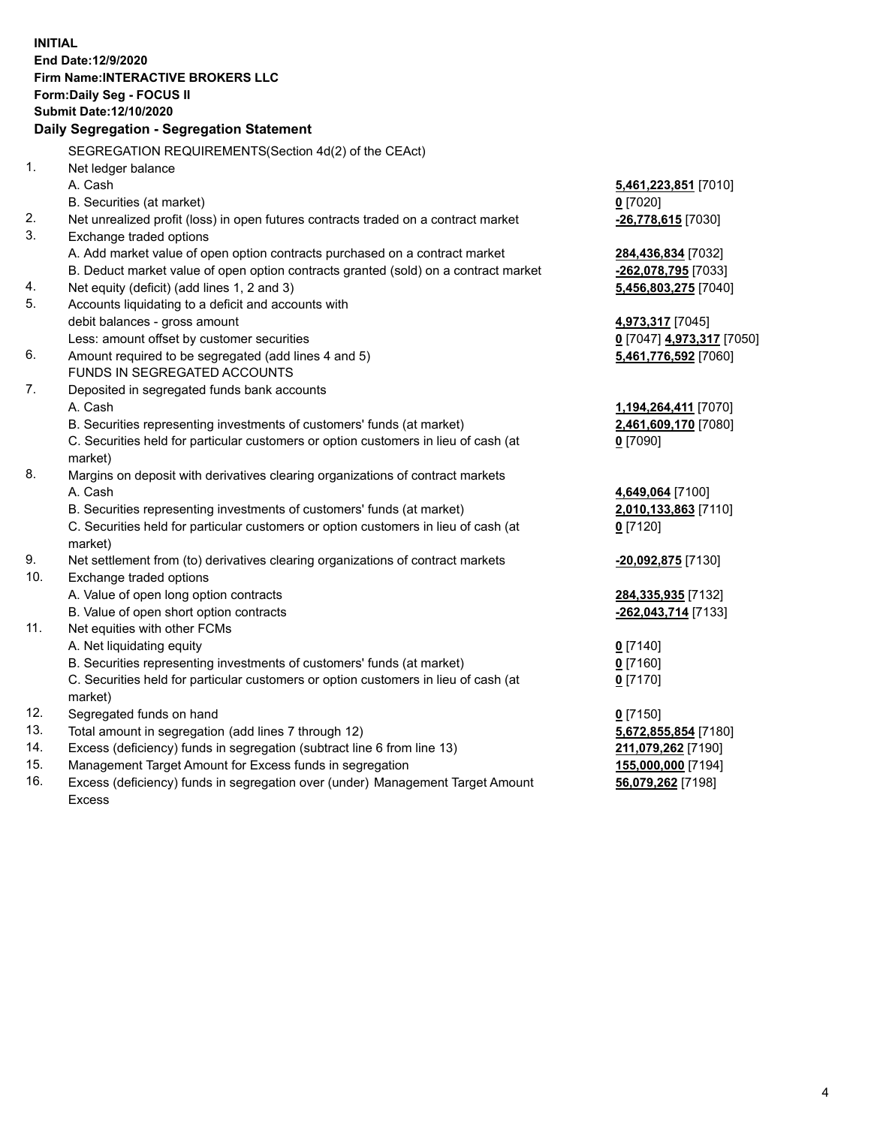**INITIAL End Date:12/9/2020 Firm Name:INTERACTIVE BROKERS LLC Form:Daily Seg - FOCUS II Submit Date:12/10/2020 Daily Segregation - Segregation Statement** SEGREGATION REQUIREMENTS(Section 4d(2) of the CEAct) 1. Net ledger balance A. Cash **5,461,223,851** [7010] B. Securities (at market) **0** [7020] 2. Net unrealized profit (loss) in open futures contracts traded on a contract market **-26,778,615** [7030] 3. Exchange traded options A. Add market value of open option contracts purchased on a contract market **284,436,834** [7032] B. Deduct market value of open option contracts granted (sold) on a contract market **-262,078,795** [7033] 4. Net equity (deficit) (add lines 1, 2 and 3) **5,456,803,275** [7040] 5. Accounts liquidating to a deficit and accounts with debit balances - gross amount **4,973,317** [7045] Less: amount offset by customer securities **0** [7047] **4,973,317** [7050] 6. Amount required to be segregated (add lines 4 and 5) **5,461,776,592** [7060] FUNDS IN SEGREGATED ACCOUNTS 7. Deposited in segregated funds bank accounts A. Cash **1,194,264,411** [7070] B. Securities representing investments of customers' funds (at market) **2,461,609,170** [7080] C. Securities held for particular customers or option customers in lieu of cash (at market) **0** [7090] 8. Margins on deposit with derivatives clearing organizations of contract markets A. Cash **4,649,064** [7100] B. Securities representing investments of customers' funds (at market) **2,010,133,863** [7110] C. Securities held for particular customers or option customers in lieu of cash (at market) **0** [7120] 9. Net settlement from (to) derivatives clearing organizations of contract markets **-20,092,875** [7130] 10. Exchange traded options A. Value of open long option contracts **284,335,935** [7132] B. Value of open short option contracts **-262,043,714** [7133] 11. Net equities with other FCMs A. Net liquidating equity **0** [7140] B. Securities representing investments of customers' funds (at market) **0** [7160] C. Securities held for particular customers or option customers in lieu of cash (at market) **0** [7170] 12. Segregated funds on hand **0** [7150] 13. Total amount in segregation (add lines 7 through 12) **5,672,855,854** [7180] 14. Excess (deficiency) funds in segregation (subtract line 6 from line 13) **211,079,262** [7190] 15. Management Target Amount for Excess funds in segregation **155,000,000** [7194]

16. Excess (deficiency) funds in segregation over (under) Management Target Amount Excess

**56,079,262** [7198]